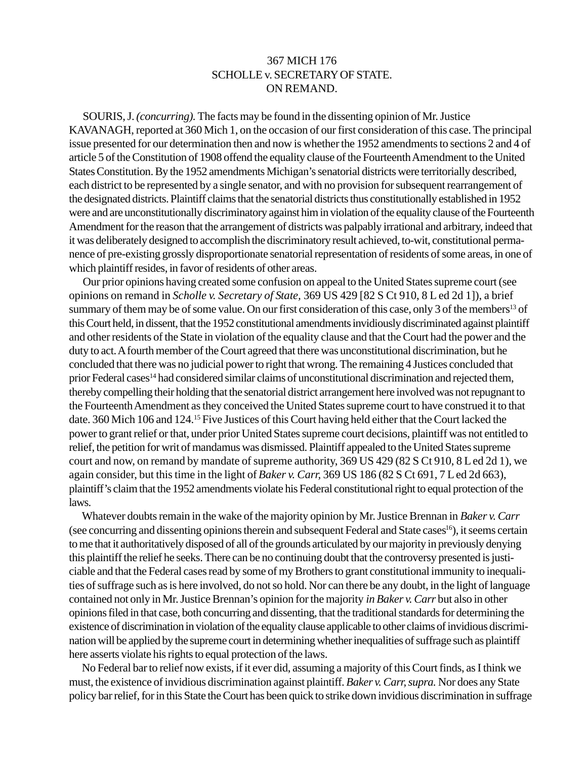## 367 MICH 176 SCHOLLE v. SECRETARY OF STATE. ON REMAND.

SOURIS, J. *(concurring).* The facts may be found in the dissenting opinion of Mr. Justice KAVANAGH, reported at 360 Mich 1, on the occasion of our first consideration of this case. The principal issue presented for our determination then and now is whether the 1952 amendments to sections 2 and 4 of article 5 of the Constitution of 1908 offend the equality clause of the Fourteenth Amendment to the United States Constitution. By the 1952 amendments Michigan's senatorial districts were territorially described, each district to be represented by a single senator, and with no provision for subsequent rearrangement of the designated districts. Plaintiff claims that the senatorial districts thus constitutionally established in 1952 were and are unconstitutionally discriminatory against him in violation of the equality clause of the Fourteenth Amendment for the reason that the arrangement of districts was palpably irrational and arbitrary, indeed that it was deliberately designed to accomplish the discriminatory result achieved, to-wit, constitutional permanence of pre-existing grossly disproportionate senatorial representation of residents of some areas, in one of which plaintiff resides, in favor of residents of other areas.

Our prior opinions having created some confusion on appeal to the United States supreme court (see opinions on remand in *Scholle v. Secretary of State,* 369 US 429 [82 S Ct 910, 8 L ed 2d 1]), a brief summary of them may be of some value. On our first consideration of this case, only 3 of the members<sup>13</sup> of this Court held, in dissent, that the 1952 constitutional amendments invidiously discriminated against plaintiff and other residents of the State in violation of the equality clause and that the Court had the power and the duty to act. A fourth member of the Court agreed that there was unconstitutional discrimination, but he concluded that there was no judicial power to right that wrong. The remaining 4 Justices concluded that prior Federal cases<sup>14</sup> had considered similar claims of unconstitutional discrimination and rejected them, thereby compelling their holding that the senatorial district arrangement here involved was not repugnant to the Fourteenth Amendment as they conceived the United States supreme court to have construed it to that date. 360 Mich 106 and 124.15 Five Justices of this Court having held either that the Court lacked the power to grant relief or that, under prior United States supreme court decisions, plaintiff was not entitled to relief, the petition for writ of mandamus was dismissed. Plaintiff appealed to the United States supreme court and now, on remand by mandate of supreme authority, 369 US 429 (82 S Ct 910, 8 L ed 2d 1), we again consider, but this time in the light of *Baker v. Carr,* 369 US 186 (82 S Ct 691, 7 L ed 2d 663), plaintiff's claim that the 1952 amendments violate his Federal constitutional right to equal protection of the laws.

Whatever doubts remain in the wake of the majority opinion by Mr. Justice Brennan in *Baker v. Carr* (see concurring and dissenting opinions therein and subsequent Federal and State cases<sup>16</sup>), it seems certain to me that it authoritatively disposed of all of the grounds articulated by our majority in previously denying this plaintiff the relief he seeks. There can be no continuing doubt that the controversy presented is justiciable and that the Federal cases read by some of my Brothers to grant constitutional immunity to inequalities of suffrage such as is here involved, do not so hold. Nor can there be any doubt, in the light of language contained not only in Mr. Justice Brennan's opinion for the majority *in Baker v. Carr* but also in other opinions filed in that case, both concurring and dissenting, that the traditional standards for determining the existence of discrimination in violation of the equality clause applicable to other claims of invidious discrimination will be applied by the supreme court in determining whether inequalities of suffrage such as plaintiff here asserts violate his rights to equal protection of the laws.

No Federal bar to relief now exists, if it ever did, assuming a majority of this Court finds, as I think we must, the existence of invidious discrimination against plaintiff. *Baker v. Carr, supra.* Nor does any State policy bar relief, for in this State the Court has been quick to strike down invidious discrimination in suffrage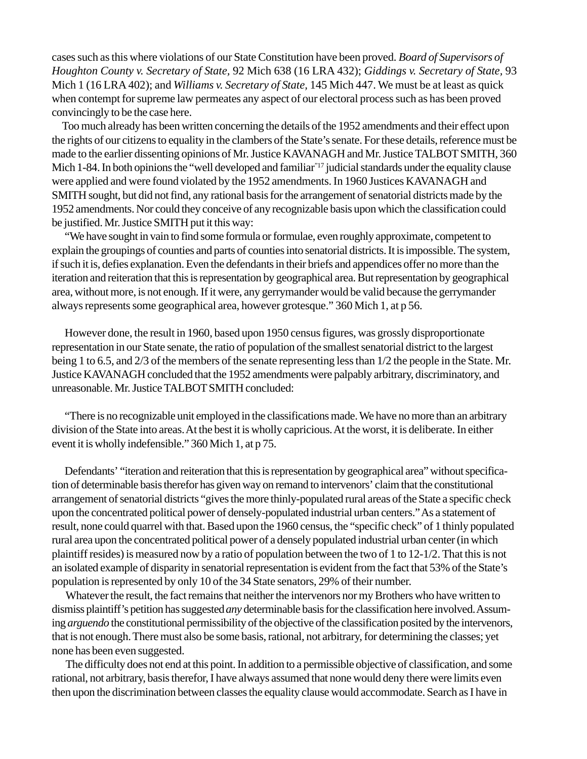cases such as this where violations of our State Constitution have been proved. *Board of Supervisors of Houghton County v. Secretary of State,* 92 Mich 638 (16 LRA 432); *Giddings v. Secretary of State,* 93 Mich 1 (16 LRA 402); and *Williams v. Secretary of State,* 145 Mich 447. We must be at least as quick when contempt for supreme law permeates any aspect of our electoral process such as has been proved convincingly to be the case here.

Too much already has been written concerning the details of the 1952 amendments and their effect upon the rights of our citizens to equality in the clambers of the State's senate. For these details, reference must be made to the earlier dissenting opinions of Mr. Justice KAVANAGH and Mr. Justice TALBOT SMITH, 360 Mich 1-84. In both opinions the "well developed and familiar"17 judicial standards under the equality clause were applied and were found violated by the 1952 amendments. In 1960 Justices KAVANAGH and SMITH sought, but did not find, any rational basis for the arrangement of senatorial districts made by the 1952 amendments. Nor could they conceive of any recognizable basis upon which the classification could be justified. Mr. Justice SMITH put it this way:

"We have sought in vain to find some formula or formulae, even roughly approximate, competent to explain the groupings of counties and parts of counties into senatorial districts. It is impossible. The system, if such it is, defies explanation. Even the defendants in their briefs and appendices offer no more than the iteration and reiteration that this is representation by geographical area. But representation by geographical area, without more, is not enough. If it were, any gerrymander would be valid because the gerrymander always represents some geographical area, however grotesque." 360 Mich 1, at p 56.

However done, the result in 1960, based upon 1950 census figures, was grossly disproportionate representation in our State senate, the ratio of population of the smallest senatorial district to the largest being 1 to 6.5, and 2/3 of the members of the senate representing less than 1/2 the people in the State. Mr. Justice KAVANAGH concluded that the 1952 amendments were palpably arbitrary, discriminatory, and unreasonable. Mr. Justice TALBOT SMITH concluded:

"There is no recognizable unit employed in the classifications made. We have no more than an arbitrary division of the State into areas. At the best it is wholly capricious. At the worst, it is deliberate. In either event it is wholly indefensible." 360 Mich 1, at p 75.

Defendants' "iteration and reiteration that this is representation by geographical area" without specification of determinable basis therefor has given way on remand to intervenors' claim that the constitutional arrangement of senatorial districts "gives the more thinly-populated rural areas of the State a specific check upon the concentrated political power of densely-populated industrial urban centers." As a statement of result, none could quarrel with that. Based upon the 1960 census, the "specific check" of 1 thinly populated rural area upon the concentrated political power of a densely populated industrial urban center (in which plaintiff resides) is measured now by a ratio of population between the two of 1 to 12-1/2. That this is not an isolated example of disparity in senatorial representation is evident from the fact that 53% of the State's population is represented by only 10 of the 34 State senators, 29% of their number.

Whatever the result, the fact remains that neither the intervenors nor my Brothers who have written to dismiss plaintiff's petition has suggested *any* determinable basis for the classification here involved. Assuming *arguendo* the constitutional permissibility of the objective of the classification posited by the intervenors, that is not enough. There must also be some basis, rational, not arbitrary, for determining the classes; yet none has been even suggested.

The difficulty does not end at this point. In addition to a permissible objective of classification, and some rational, not arbitrary, basis therefor, I have always assumed that none would deny there were limits even then upon the discrimination between classes the equality clause would accommodate. Search as I have in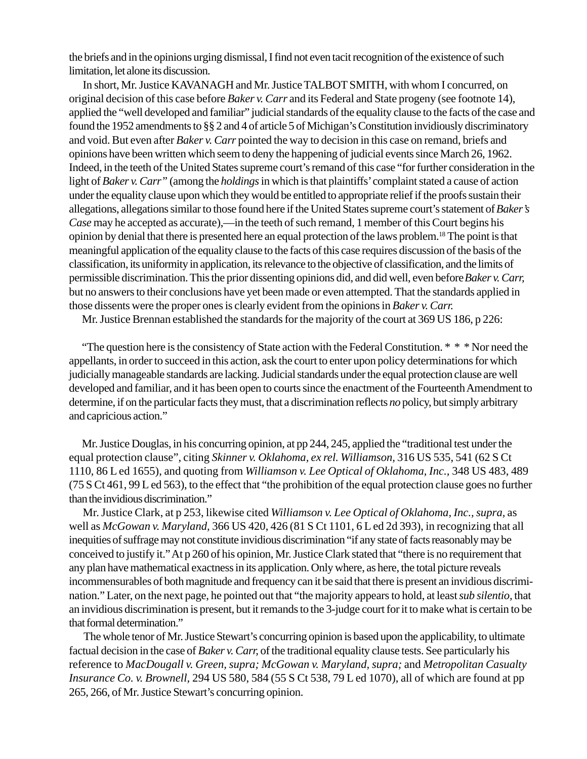the briefs and in the opinions urging dismissal, I find not even tacit recognition of the existence of such limitation, let alone its discussion.

In short, Mr. Justice KAVANAGH and Mr. Justice TALBOT SMITH, with whom I concurred, on original decision of this case before *Baker v. Carr* and its Federal and State progeny (see footnote 14), applied the "well developed and familiar" judicial standards of the equality clause to the facts of the case and found the 1952 amendments to §§ 2 and 4 of article 5 of Michigan's Constitution invidiously discriminatory and void. But even after *Baker v. Carr* pointed the way to decision in this case on remand, briefs and opinions have been written which seem to deny the happening of judicial events since March 26, 1962. Indeed, in the teeth of the United States supreme court's remand of this case "for further consideration in the light of *Baker v. Carr"* (among the *holdings* in which is that plaintiffs' complaint stated a cause of action under the equality clause upon which they would be entitled to appropriate relief if the proofs sustain their allegations, allegations similar to those found here if the United States supreme court's statement of *Baker's Case* may he accepted as accurate),—in the teeth of such remand, 1 member of this Court begins his opinion by denial that there is presented here an equal protection of the laws problem.18 The point is that meaningful application of the equality clause to the facts of this case requires discussion of the basis of the classification, its uniformity in application, its relevance to the objective of classification, and the limits of permissible discrimination. This the prior dissenting opinions did, and did well, even before *Baker v. Carr,* but no answers to their conclusions have yet been made or even attempted. That the standards applied in those dissents were the proper ones is clearly evident from the opinions in *Baker v. Carr.*

Mr. Justice Brennan established the standards for the majority of the court at 369 US 186, p 226:

"The question here is the consistency of State action with the Federal Constitution.  $* * * N$  Nor need the appellants, in order to succeed in this action, ask the court to enter upon policy determinations for which judicially manageable standards are lacking. Judicial standards under the equal protection clause are well developed and familiar, and it has been open to courts since the enactment of the Fourteenth Amendment to determine, if on the particular facts they must, that a discrimination reflects *no* policy, but simply arbitrary and capricious action."

Mr. Justice Douglas, in his concurring opinion, at pp 244, 245, applied the "traditional test under the equal protection clause", citing *Skinner v. Oklahoma, ex rel. Williamson,* 316 US 535, 541 (62 S Ct 1110, 86 L ed 1655), and quoting from *Williamson v. Lee Optical of Oklahoma, Inc.,* 348 US 483, 489 (75 S Ct 461, 99 L ed 563), to the effect that "the prohibition of the equal protection clause goes no further than the invidious discrimination."

Mr. Justice Clark, at p 253, likewise cited *Williamson v. Lee Optical of Oklahoma, Inc., supra,* as well as *McGowan v. Maryland,* 366 US 420, 426 (81 S Ct 1101, 6 L ed 2d 393), in recognizing that all inequities of suffrage may not constitute invidious discrimination "if any state of facts reasonably may be conceived to justify it." At p 260 of his opinion, Mr. Justice Clark stated that "there is no requirement that any plan have mathematical exactness in its application. Only where, as here, the total picture reveals incommensurables of both magnitude and frequency can it be said that there is present an invidious discrimination." Later, on the next page, he pointed out that "the majority appears to hold, at least *sub silentio,* that an invidious discrimination is present, but it remands to the 3-judge court for it to make what is certain to be that formal determination."

 The whole tenor of Mr. Justice Stewart's concurring opinion is based upon the applicability, to ultimate factual decision in the case of *Baker v. Carr,* of the traditional equality clause tests. See particularly his reference to *MacDougall v. Green, supra; McGowan v. Maryland, supra;* and *Metropolitan Casualty Insurance Co. v. Brownell,* 294 US 580, 584 (55 S Ct 538, 79 L ed 1070), all of which are found at pp 265, 266, of Mr. Justice Stewart's concurring opinion.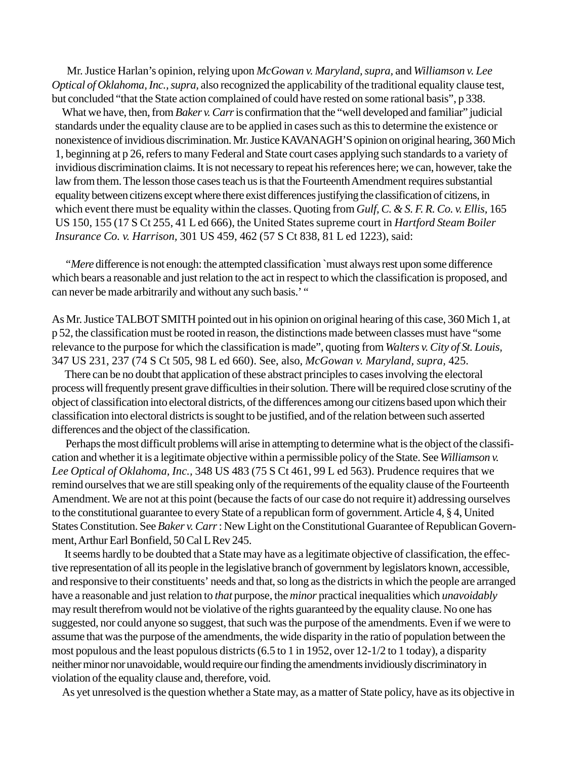Mr. Justice Harlan's opinion, relying upon *McGowan v. Maryland, supra,* and *Williamson v. Lee Optical of Oklahoma, Inc., supra,* also recognized the applicability of the traditional equality clause test, but concluded "that the State action complained of could have rested on some rational basis", p 338.

What we have, then, from *Baker v. Carr* is confirmation that the "well developed and familiar" judicial standards under the equality clause are to be applied in cases such as this to determine the existence or nonexistence of invidious discrimination. Mr. Justice KAVANAGH'S opinion on original hearing, 360 Mich 1, beginning at p 26, refers to many Federal and State court cases applying such standards to a variety of invidious discrimination claims. It is not necessary to repeat his references here; we can, however, take the law from them. The lesson those cases teach us is that the Fourteenth Amendment requires substantial equality between citizens except where there exist differences justifying the classification of citizens, in which event there must be equality within the classes. Quoting from *Gulf, C. & S. F. R. Co. v. Ellis,* 165 US 150, 155 (17 S Ct 255, 41 L ed 666), the United States supreme court in *Hartford Steam Boiler Insurance Co. v. Harrison,* 301 US 459, 462 (57 S Ct 838, 81 L ed 1223), said:

*"Mere* difference is not enough: the attempted classification `must always rest upon some difference which bears a reasonable and just relation to the act in respect to which the classification is proposed, and can never be made arbitrarily and without any such basis.' "

As Mr. Justice TALBOT SMITH pointed out in his opinion on original hearing of this case, 360 Mich 1, at p 52, the classification must be rooted in reason, the distinctions made between classes must have "some relevance to the purpose for which the classification is made", quoting from *Walters v. City of St. Louis,* 347 US 231, 237 (74 S Ct 505, 98 L ed 660). See, also, *McGowan v. Maryland, supra,* 425.

There can be no doubt that application of these abstract principles to cases involving the electoral process will frequently present grave difficulties in their solution. There will be required close scrutiny of the object of classification into electoral districts, of the differences among our citizens based upon which their classification into electoral districts is sought to be justified, and of the relation between such asserted differences and the object of the classification.

Perhaps the most difficult problems will arise in attempting to determine what is the object of the classification and whether it is a legitimate objective within a permissible policy of the State. See *Williamson v. Lee Optical of Oklahoma, Inc.,* 348 US 483 (75 S Ct 461, 99 L ed 563). Prudence requires that we remind ourselves that we are still speaking only of the requirements of the equality clause of the Fourteenth Amendment. We are not at this point (because the facts of our case do not require it) addressing ourselves to the constitutional guarantee to every State of a republican form of government. Article 4, § 4, United States Constitution. See *Baker v. Carr* : New Light on the Constitutional Guarantee of Republican Government, Arthur Earl Bonfield, 50 Cal L Rev 245.

 It seems hardly to be doubted that a State may have as a legitimate objective of classification, the effective representation of all its people in the legislative branch of government by legislators known, accessible, and responsive to their constituents' needs and that, so long as the districts in which the people are arranged have a reasonable and just relation to *that* purpose, the *minor* practical inequalities which *unavoidably* may result therefrom would not be violative of the rights guaranteed by the equality clause. No one has suggested, nor could anyone so suggest, that such was the purpose of the amendments. Even if we were to assume that was the purpose of the amendments, the wide disparity in the ratio of population between the most populous and the least populous districts (6.5 to 1 in 1952, over 12-1/2 to 1 today), a disparity neither minor nor unavoidable, would require our finding the amendments invidiously discriminatory in violation of the equality clause and, therefore, void.

As yet unresolved is the question whether a State may, as a matter of State policy, have as its objective in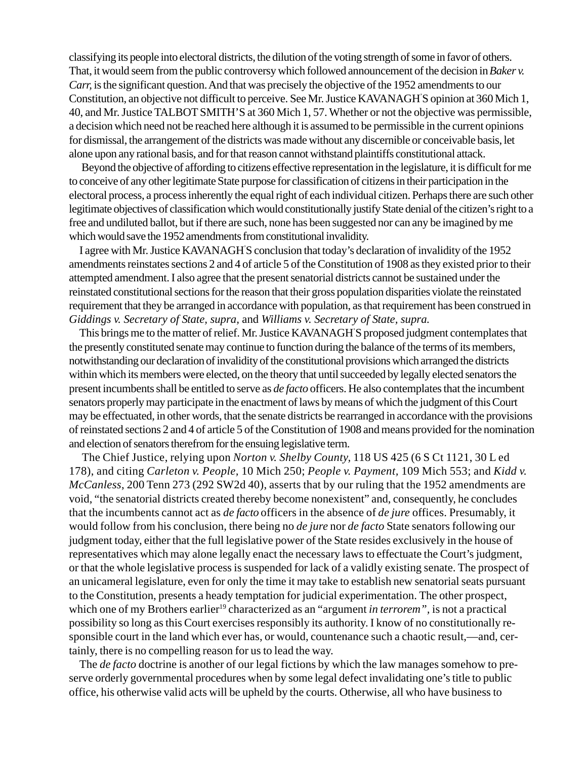classifying its people into electoral districts, the dilution of the voting strength of some in favor of others. That, it would seem from the public controversy which followed announcement of the decision in *Baker v. Carr,* isthe significant question. And that was precisely the objective of the 1952 amendments to our Constitution, an objective not difficult to perceive. See Mr. Justice KAVANAGH' S opinion at 360 Mich 1, 40, and Mr. Justice TALBOT SMITH'S at 360 Mich 1, 57. Whether or not the objective was permissible, a decision which need not be reached here although it is assumed to be permissible in the current opinions for dismissal, the arrangement of the districts was made without any discernible or conceivable basis, let alone upon any rational basis, and for that reason cannot withstand plaintiffs constitutional attack.

 Beyond the objective of affording to citizens effective representation in the legislature, it is difficult for me to conceive of any other legitimate State purpose for classification of citizens in their participation in the electoral process, a process inherently the equal right of each individual citizen. Perhaps there are such other legitimate objectives of classification which would constitutionally justify State denial of the citizen's right to a free and undiluted ballot, but if there are such, none has been suggested nor can any be imagined by me which would save the 1952 amendments from constitutional invalidity.

I agree with Mr. Justice KAVANAGH' S conclusion that today's declaration of invalidity of the 1952 amendments reinstates sections 2 and 4 of article 5 of the Constitution of 1908 as they existed prior to their attempted amendment. I also agree that the present senatorial districts cannot be sustained under the reinstated constitutional sections for the reason that their gross population disparities violate the reinstated requirement that they be arranged in accordance with population, as that requirement has been construed in *Giddings v. Secretary of State, supra,* and *Williams v. Secretary of State, supra.*

This brings me to the matter of relief. Mr. Justice KAVANAGH' S proposed judgment contemplates that the presently constituted senate may continue to function during the balance of the terms of its members, notwithstanding our declaration of invalidity of the constitutional provisions which arranged the districts within which its members were elected, on the theory that until succeeded by legally elected senators the present incumbents shall be entitled to serve as *de facto* officers. He also contemplates that the incumbent senators properly may participate in the enactment of laws by means of which the judgment of this Court may be effectuated, in other words, that the senate districts be rearranged in accordance with the provisions of reinstated sections 2 and 4 of article 5 of the Constitution of 1908 and means provided for the nomination and election of senators therefrom for the ensuing legislative term.

The Chief Justice, relying upon *Norton v. Shelby County,* 118 US 425 (6 S Ct 1121, 30 L ed 178), and citing *Carleton v. People,* 10 Mich 250; *People v. Payment,* 109 Mich 553; and *Kidd v. McCanless*, 200 Tenn 273 (292 SW2d 40), asserts that by our ruling that the 1952 amendments are void, "the senatorial districts created thereby become nonexistent" and, consequently, he concludes that the incumbents cannot act as *de facto* officers in the absence of *de jure* offices. Presumably, it would follow from his conclusion, there being no *de jure* nor *de facto* State senators following our judgment today, either that the full legislative power of the State resides exclusively in the house of representatives which may alone legally enact the necessary laws to effectuate the Court's judgment, or that the whole legislative process is suspended for lack of a validly existing senate. The prospect of an unicameral legislature, even for only the time it may take to establish new senatorial seats pursuant to the Constitution, presents a heady temptation for judicial experimentation. The other prospect, which one of my Brothers earlier<sup>19</sup> characterized as an "argument *in terrorem*", is not a practical possibility so long as this Court exercises responsibly its authority. I know of no constitutionally responsible court in the land which ever has, or would, countenance such a chaotic result,—and, certainly, there is no compelling reason for us to lead the way.

The *de facto* doctrine is another of our legal fictions by which the law manages somehow to preserve orderly governmental procedures when by some legal defect invalidating one's title to public office, his otherwise valid acts will be upheld by the courts. Otherwise, all who have business to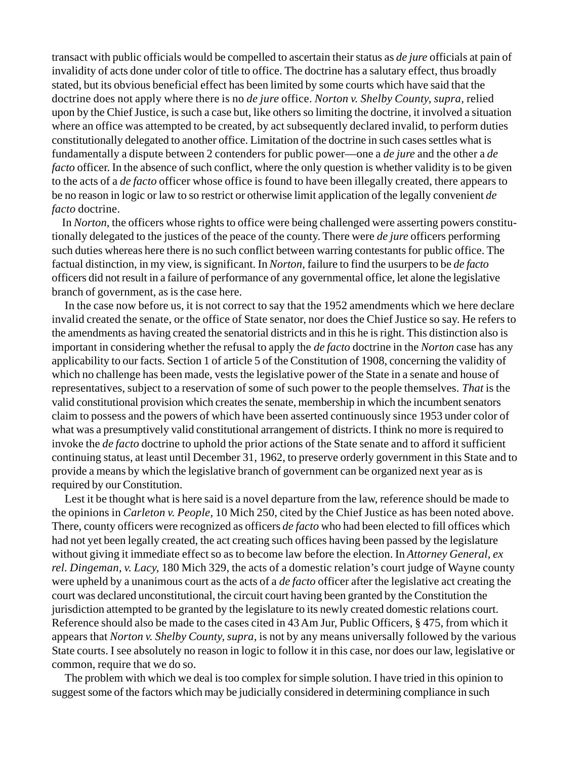transact with public officials would be compelled to ascertain their status as *de jure* officials at pain of invalidity of acts done under color of title to office. The doctrine has a salutary effect, thus broadly stated, but its obvious beneficial effect has been limited by some courts which have said that the doctrine does not apply where there is no *de jure* office. *Norton v. Shelby County, supra,* relied upon by the Chief Justice, is such a case but, like others so limiting the doctrine, it involved a situation where an office was attempted to be created, by act subsequently declared invalid, to perform duties constitutionally delegated to another office. Limitation of the doctrine in such cases settles what is fundamentally a dispute between 2 contenders for public power—one a *de jure* and the other a *de facto* officer. In the absence of such conflict, where the only question is whether validity is to be given to the acts of a *de facto* officer whose office is found to have been illegally created, there appears to be no reason in logic or law to so restrict or otherwise limit application of the legally convenient *de facto* doctrine.

In *Norton,* the officers whose rights to office were being challenged were asserting powers constitutionally delegated to the justices of the peace of the county. There were *de jure* officers performing such duties whereas here there is no such conflict between warring contestants for public office. The factual distinction, in my view, is significant. In *Norton,* failure to find the usurpers to be *de facto* officers did not result in a failure of performance of any governmental office, let alone the legislative branch of government, as is the case here.

In the case now before us, it is not correct to say that the 1952 amendments which we here declare invalid created the senate, or the office of State senator, nor does the Chief Justice so say. He refers to the amendments as having created the senatorial districts and in this he is right. This distinction also is important in considering whether the refusal to apply the *de facto* doctrine in the *Norton* case has any applicability to our facts. Section 1 of article 5 of the Constitution of 1908, concerning the validity of which no challenge has been made, vests the legislative power of the State in a senate and house of representatives, subject to a reservation of some of such power to the people themselves. *That* is the valid constitutional provision which creates the senate, membership in which the incumbent senators claim to possess and the powers of which have been asserted continuously since 1953 under color of what was a presumptively valid constitutional arrangement of districts. I think no more is required to invoke the *de facto* doctrine to uphold the prior actions of the State senate and to afford it sufficient continuing status, at least until December 31, 1962, to preserve orderly government in this State and to provide a means by which the legislative branch of government can be organized next year as is required by our Constitution.

Lest it be thought what is here said is a novel departure from the law, reference should be made to the opinions in *Carleton v. People,* 10 Mich 250, cited by the Chief Justice as has been noted above. There, county officers were recognized as officers *de facto* who had been elected to fill offices which had not yet been legally created, the act creating such offices having been passed by the legislature without giving it immediate effect so as to become law before the election. In *Attorney General, ex rel. Dingeman, v. Lacy,* 180 Mich 329, the acts of a domestic relation's court judge of Wayne county were upheld by a unanimous court as the acts of a *de facto* officer after the legislative act creating the court was declared unconstitutional, the circuit court having been granted by the Constitution the jurisdiction attempted to be granted by the legislature to its newly created domestic relations court. Reference should also be made to the cases cited in 43 Am Jur, Public Officers, § 475, from which it appears that *Norton v. Shelby County, supra,* is not by any means universally followed by the various State courts. I see absolutely no reason in logic to follow it in this case, nor does our law, legislative or common, require that we do so.

The problem with which we deal is too complex for simple solution. I have tried in this opinion to suggest some of the factors which may be judicially considered in determining compliance in such